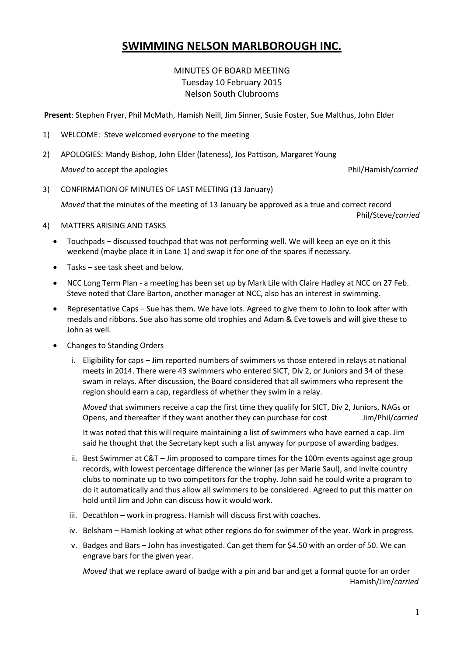# **SWIMMING NELSON MARLBOROUGH INC.**

# MINUTES OF BOARD MEETING Tuesday 10 February 2015 Nelson South Clubrooms

**Present**: Stephen Fryer, Phil McMath, Hamish Neill, Jim Sinner, Susie Foster, Sue Malthus, John Elder

- 1) WELCOME: Steve welcomed everyone to the meeting
- 2) APOLOGIES: Mandy Bishop, John Elder (lateness), Jos Pattison, Margaret Young

*Moved* to accept the apologies **Phil/Hamish/***carried* Phil/Hamish/*carried* 

3) CONFIRMATION OF MINUTES OF LAST MEETING (13 January)

*Moved* that the minutes of the meeting of 13 January be approved as a true and correct record

Phil/Steve/*carried*

- 4) MATTERS ARISING AND TASKS
	- Touchpads discussed touchpad that was not performing well. We will keep an eye on it this weekend (maybe place it in Lane 1) and swap it for one of the spares if necessary.
	- Tasks see task sheet and below.
	- NCC Long Term Plan a meeting has been set up by Mark Lile with Claire Hadley at NCC on 27 Feb. Steve noted that Clare Barton, another manager at NCC, also has an interest in swimming.
	- Representative Caps Sue has them. We have lots. Agreed to give them to John to look after with medals and ribbons. Sue also has some old trophies and Adam & Eve towels and will give these to John as well.
	- Changes to Standing Orders
		- i. Eligibility for caps Jim reported numbers of swimmers vs those entered in relays at national meets in 2014. There were 43 swimmers who entered SICT, Div 2, or Juniors and 34 of these swam in relays. After discussion, the Board considered that all swimmers who represent the region should earn a cap, regardless of whether they swim in a relay.

*Moved* that swimmers receive a cap the first time they qualify for SICT, Div 2, Juniors, NAGs or Opens, and thereafter if they want another they can purchase for cost Jim/Phil/*carried*

It was noted that this will require maintaining a list of swimmers who have earned a cap. Jim said he thought that the Secretary kept such a list anyway for purpose of awarding badges.

- ii. Best Swimmer at C&T Jim proposed to compare times for the 100m events against age group records, with lowest percentage difference the winner (as per Marie Saul), and invite country clubs to nominate up to two competitors for the trophy. John said he could write a program to do it automatically and thus allow all swimmers to be considered. Agreed to put this matter on hold until Jim and John can discuss how it would work.
- iii. Decathlon work in progress. Hamish will discuss first with coaches.
- iv. Belsham Hamish looking at what other regions do for swimmer of the year. Work in progress.
- v. Badges and Bars John has investigated. Can get them for \$4.50 with an order of 50. We can engrave bars for the given year.

*Moved* that we replace award of badge with a pin and bar and get a formal quote for an order Hamish/Jim/*carried*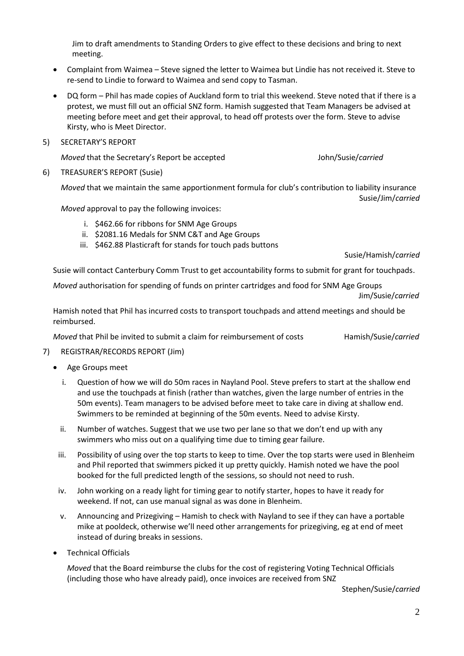Jim to draft amendments to Standing Orders to give effect to these decisions and bring to next meeting.

- Complaint from Waimea Steve signed the letter to Waimea but Lindie has not received it. Steve to re-send to Lindie to forward to Waimea and send copy to Tasman.
- DQ form Phil has made copies of Auckland form to trial this weekend. Steve noted that if there is a protest, we must fill out an official SNZ form. Hamish suggested that Team Managers be advised at meeting before meet and get their approval, to head off protests over the form. Steve to advise Kirsty, who is Meet Director.
- 5) SECRETARY'S REPORT

*Moved* that the Secretary's Report be accepted John/Susie/*carried*

6) TREASURER'S REPORT (Susie)

*Moved* that we maintain the same apportionment formula for club's contribution to liability insurance Susie/Jim/*carried*

*Moved* approval to pay the following invoices:

- i. \$462.66 for ribbons for SNM Age Groups
- ii. \$2081.16 Medals for SNM C&T and Age Groups
- iii. \$462.88 Plasticraft for stands for touch pads buttons

Susie/Hamish/*carried*

Susie will contact Canterbury Comm Trust to get accountability forms to submit for grant for touchpads.

*Moved* authorisation for spending of funds on printer cartridges and food for SNM Age Groups

Jim/Susie/*carried*

Hamish noted that Phil has incurred costs to transport touchpads and attend meetings and should be reimbursed.

*Moved* that Phil be invited to submit a claim for reimbursement of costs Hamish/Susie/*carried* 

- 7) REGISTRAR/RECORDS REPORT (Jim)
	- Age Groups meet
		- i. Question of how we will do 50m races in Nayland Pool. Steve prefers to start at the shallow end and use the touchpads at finish (rather than watches, given the large number of entries in the 50m events). Team managers to be advised before meet to take care in diving at shallow end. Swimmers to be reminded at beginning of the 50m events. Need to advise Kirsty.
		- ii. Number of watches. Suggest that we use two per lane so that we don't end up with any swimmers who miss out on a qualifying time due to timing gear failure.
		- iii. Possibility of using over the top starts to keep to time. Over the top starts were used in Blenheim and Phil reported that swimmers picked it up pretty quickly. Hamish noted we have the pool booked for the full predicted length of the sessions, so should not need to rush.
		- iv. John working on a ready light for timing gear to notify starter, hopes to have it ready for weekend. If not, can use manual signal as was done in Blenheim.
		- v. Announcing and Prizegiving Hamish to check with Nayland to see if they can have a portable mike at pooldeck, otherwise we'll need other arrangements for prizegiving, eg at end of meet instead of during breaks in sessions.
	- Technical Officials

*Moved* that the Board reimburse the clubs for the cost of registering Voting Technical Officials (including those who have already paid), once invoices are received from SNZ

Stephen/Susie/*carried*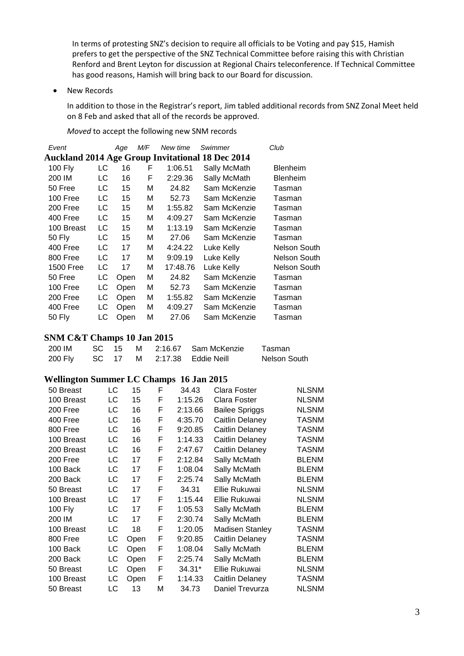In terms of protesting SNZ's decision to require all officials to be Voting and pay \$15, Hamish prefers to get the perspective of the SNZ Technical Committee before raising this with Christian Renford and Brent Leyton for discussion at Regional Chairs teleconference. If Technical Committee has good reasons, Hamish will bring back to our Board for discussion.

• New Records

In addition to those in the Registrar's report, Jim tabled additional records from SNZ Zonal Meet held on 8 Feb and asked that all of the records be approved.

*Moved* to accept the following new SNM records

| Event                                            |    | Age  | M/F | New time | Swimmer      | Club                |  |  |  |
|--------------------------------------------------|----|------|-----|----------|--------------|---------------------|--|--|--|
| Auckland 2014 Age Group Invitational 18 Dec 2014 |    |      |     |          |              |                     |  |  |  |
| 100 Fly                                          | LC | 16   | F   | 1:06.51  | Sally McMath | <b>Blenheim</b>     |  |  |  |
| 200 IM                                           | LC | 16   | F   | 2:29.36  | Sally McMath | <b>Blenheim</b>     |  |  |  |
| 50 Free                                          | LC | 15   | М   | 24.82    | Sam McKenzie | Tasman              |  |  |  |
| 100 Free                                         | LC | 15   | М   | 52.73    | Sam McKenzie | Tasman              |  |  |  |
| 200 Free                                         | LC | 15   | М   | 1:55.82  | Sam McKenzie | Tasman              |  |  |  |
| 400 Free                                         | LC | 15   | М   | 4:09.27  | Sam McKenzie | Tasman              |  |  |  |
| 100 Breast                                       | LC | 15   | М   | 1:13.19  | Sam McKenzie | Tasman              |  |  |  |
| 50 Fly                                           | LC | 15   | М   | 27.06    | Sam McKenzie | Tasman              |  |  |  |
| 400 Free                                         | LC | 17   | М   | 4:24.22  | Luke Kelly   | <b>Nelson South</b> |  |  |  |
| 800 Free                                         | LC | 17   | М   | 9:09.19  | Luke Kelly   | <b>Nelson South</b> |  |  |  |
| 1500 Free                                        | LC | 17   | М   | 17:48.76 | Luke Kelly   | <b>Nelson South</b> |  |  |  |
| 50 Free                                          | LC | Open | М   | 24.82    | Sam McKenzie | Tasman              |  |  |  |
| 100 Free                                         | LC | Open | М   | 52.73    | Sam McKenzie | Tasman              |  |  |  |
| 200 Free                                         | LC | Open | М   | 1:55.82  | Sam McKenzie | Tasman              |  |  |  |
| 400 Free                                         | LC | Open | Μ   | 4:09.27  | Sam McKenzie | Tasman              |  |  |  |
| 50 Fly                                           | LC | Open | М   | 27.06    | Sam McKenzie | Tasman              |  |  |  |

# **SNM C&T Champs 10 Jan 2015**

| 200 IM  |  |  | SC 15 M 2:16.67 Sam McKenzie | Tasman       |
|---------|--|--|------------------------------|--------------|
| 200 Fly |  |  | SC 17 M 2:17.38 Eddie Neill  | Nelson South |

#### **Wellington Summer LC Champs 16 Jan 2015**

| 50 Breast      | LC | 15   | F | 34.43    | Clara Foster           | <b>NLSNM</b> |
|----------------|----|------|---|----------|------------------------|--------------|
| 100 Breast     | LC | 15   | F | 1:15.26  | Clara Foster           | <b>NLSNM</b> |
| 200 Free       | LC | 16   | F | 2:13.66  | <b>Bailee Spriggs</b>  | <b>NLSNM</b> |
| 400 Free       | LC | 16   | F | 4:35.70  | Caitlin Delaney        | <b>TASNM</b> |
| 800 Free       | LC | 16   | F | 9:20.85  | Caitlin Delaney        | <b>TASNM</b> |
| 100 Breast     | LC | 16   | F | 1:14.33  | Caitlin Delaney        | <b>TASNM</b> |
| 200 Breast     | LC | 16   | F | 2:47.67  | Caitlin Delaney        | <b>TASNM</b> |
| 200 Free       | LC | 17   | F | 2:12.84  | Sally McMath           | <b>BLENM</b> |
| 100 Back       | LC | 17   | F | 1:08.04  | Sally McMath           | <b>BLENM</b> |
| 200 Back       | LC | 17   | F | 2:25.74  | Sally McMath           | <b>BLENM</b> |
| 50 Breast      | LC | 17   | F | 34.31    | Ellie Rukuwai          | <b>NLSNM</b> |
| 100 Breast     | LC | 17   | F | 1:15.44  | Ellie Rukuwai          | <b>NLSNM</b> |
| <b>100 Fly</b> | LC | 17   | F | 1:05.53  | Sally McMath           | <b>BLENM</b> |
| 200 IM         | LC | 17   | F | 2:30.74  | Sally McMath           | <b>BLENM</b> |
| 100 Breast     | LC | 18   | F | 1:20.05  | <b>Madisen Stanley</b> | TASNM        |
| 800 Free       | LC | Open | F | 9:20.85  | Caitlin Delaney        | <b>TASNM</b> |
| 100 Back       | LC | Open | F | 1:08.04  | Sally McMath           | <b>BLENM</b> |
| 200 Back       | LC | Open | F | 2:25.74  | Sally McMath           | <b>BLENM</b> |
| 50 Breast      | LC | Open | F | $34.31*$ | Ellie Rukuwai          | <b>NLSNM</b> |
| 100 Breast     | LC | Open | F | 1:14.33  | Caitlin Delaney        | <b>TASNM</b> |
| 50 Breast      | LC | 13   | М | 34.73    | Daniel Trevurza        | <b>NLSNM</b> |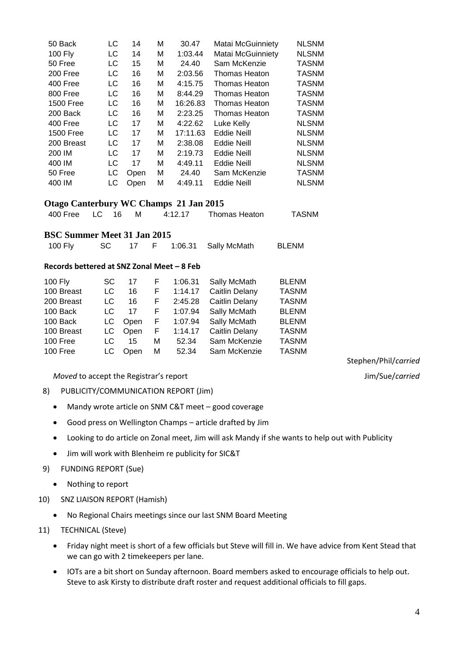| 50 Back          | LC | 14   | М | 30.47    | <b>Matai McGuinniety</b> | <b>NLSNM</b> |
|------------------|----|------|---|----------|--------------------------|--------------|
| <b>100 Fly</b>   | LC | 14   | М | 1:03.44  | <b>Matai McGuinniety</b> | <b>NLSNM</b> |
| 50 Free          | LC | 15   | M | 24.40    | Sam McKenzie             | <b>TASNM</b> |
| 200 Free         | LC | 16   | M | 2:03.56  | <b>Thomas Heaton</b>     | <b>TASNM</b> |
| 400 Free         | LC | 16   | M | 4:15.75  | <b>Thomas Heaton</b>     | <b>TASNM</b> |
| 800 Free         | LC | 16   | M | 8:44.29  | <b>Thomas Heaton</b>     | <b>TASNM</b> |
| <b>1500 Free</b> | LC | 16   | M | 16:26.83 | <b>Thomas Heaton</b>     | <b>TASNM</b> |
| 200 Back         | LC | 16   | M | 2:23.25  | <b>Thomas Heaton</b>     | <b>TASNM</b> |
| 400 Free         | LC | 17   | M | 4:22.62  | Luke Kelly               | <b>NLSNM</b> |
| <b>1500 Free</b> | LC | 17   | М | 17:11.63 | <b>Eddie Neill</b>       | <b>NLSNM</b> |
| 200 Breast       | LC | 17   | M | 2:38.08  | <b>Eddie Neill</b>       | <b>NLSNM</b> |
| 200 IM           | LC | 17   | M | 2:19.73  | <b>Eddie Neill</b>       | <b>NLSNM</b> |
| 400 IM           | LC | 17   | M | 4:49.11  | <b>Eddie Neill</b>       | <b>NLSNM</b> |
| 50 Free          | LC | Open | М | 24.40    | Sam McKenzie             | <b>TASNM</b> |
| 400 IM           | LC | Open | М | 4:49.11  | <b>Eddie Neill</b>       | <b>NLSNM</b> |
|                  |    |      |   |          |                          |              |

# **Otago Canterbury WC Champs 21 Jan 2015**

| 400 Free LC 16<br>Thomas Heaton<br>4:12.17 | <b>TASNM</b> |
|--------------------------------------------|--------------|
|--------------------------------------------|--------------|

## **BSC Summer Meet 31 Jan 2015**

| 100 Fly | SC - |  |  |  | F 1:06.31 Sally McMath | BLENM |
|---------|------|--|--|--|------------------------|-------|
|---------|------|--|--|--|------------------------|-------|

#### **Records bettered at SNZ Zonal Meet – 8 Feb**

| 100 Fly    | SC.  | 17   | F  | 1:06.31 | Sally McMath          | <b>BLENM</b> |
|------------|------|------|----|---------|-----------------------|--------------|
| 100 Breast | LC   | 16   | F. | 1:14.17 | <b>Caitlin Delany</b> | <b>TASNM</b> |
| 200 Breast | LC   | 16   | F  | 2:45.28 | Caitlin Delany        | <b>TASNM</b> |
| 100 Back   | LC   | 17   | F. | 1:07.94 | Sally McMath          | <b>BLENM</b> |
| 100 Back   | LC.  | Open | F  | 1:07.94 | Sally McMath          | <b>BLENM</b> |
| 100 Breast | LC.  | Open | F. | 1:14.17 | Caitlin Delany        | <b>TASNM</b> |
| 100 Free   | LC.  | 15   | М  | 52.34   | Sam McKenzie          | <b>TASNM</b> |
| 100 Free   | LC - | Open | М  | 52.34   | Sam McKenzie          | <b>TASNM</b> |

*Moved* to accept the Registrar's report Jim/Sue/*carried* 

Stephen/Phil/*carried*

- 8) PUBLICITY/COMMUNICATION REPORT (Jim)
	- Mandy wrote article on SNM C&T meet good coverage
	- Good press on Wellington Champs article drafted by Jim
	- Looking to do article on Zonal meet, Jim will ask Mandy if she wants to help out with Publicity
	- Jim will work with Blenheim re publicity for SIC&T

### 9) FUNDING REPORT (Sue)

- Nothing to report
- 10) SNZ LIAISON REPORT (Hamish)
	- No Regional Chairs meetings since our last SNM Board Meeting

### 11) TECHNICAL (Steve)

- Friday night meet is short of a few officials but Steve will fill in. We have advice from Kent Stead that we can go with 2 timekeepers per lane.
- IOTs are a bit short on Sunday afternoon. Board members asked to encourage officials to help out. Steve to ask Kirsty to distribute draft roster and request additional officials to fill gaps.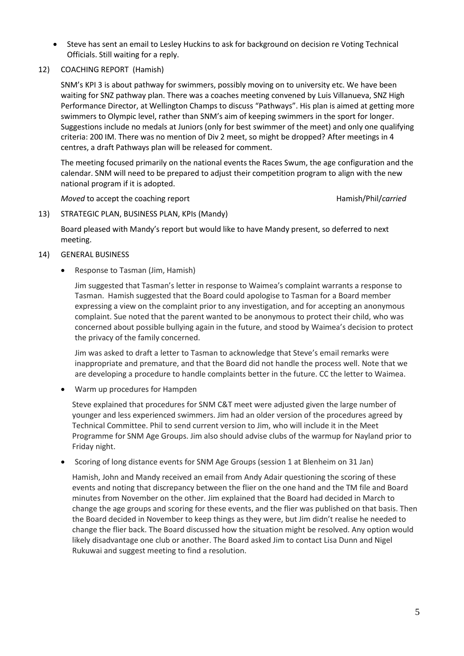- Steve has sent an email to Lesley Huckins to ask for background on decision re Voting Technical Officials. Still waiting for a reply.
- 12) COACHING REPORT (Hamish)

SNM's KPI 3 is about pathway for swimmers, possibly moving on to university etc. We have been waiting for SNZ pathway plan. There was a coaches meeting convened by Luis Villanueva, SNZ High Performance Director, at Wellington Champs to discuss "Pathways". His plan is aimed at getting more swimmers to Olympic level, rather than SNM's aim of keeping swimmers in the sport for longer. Suggestions include no medals at Juniors (only for best swimmer of the meet) and only one qualifying criteria: 200 IM. There was no mention of Div 2 meet, so might be dropped? After meetings in 4 centres, a draft Pathways plan will be released for comment.

The meeting focused primarily on the national events the Races Swum, the age configuration and the calendar. SNM will need to be prepared to adjust their competition program to align with the new national program if it is adopted.

*Moved* to accept the coaching report **Hamish**/Phil/*carried* Hamish/Phil/*carried* 

13) STRATEGIC PLAN, BUSINESS PLAN, KPIs (Mandy)

Board pleased with Mandy's report but would like to have Mandy present, so deferred to next meeting.

#### 14) GENERAL BUSINESS

Response to Tasman (Jim, Hamish)

Jim suggested that Tasman's letter in response to Waimea's complaint warrants a response to Tasman. Hamish suggested that the Board could apologise to Tasman for a Board member expressing a view on the complaint prior to any investigation, and for accepting an anonymous complaint. Sue noted that the parent wanted to be anonymous to protect their child, who was concerned about possible bullying again in the future, and stood by Waimea's decision to protect the privacy of the family concerned.

Jim was asked to draft a letter to Tasman to acknowledge that Steve's email remarks were inappropriate and premature, and that the Board did not handle the process well. Note that we are developing a procedure to handle complaints better in the future. CC the letter to Waimea.

Warm up procedures for Hampden

Steve explained that procedures for SNM C&T meet were adjusted given the large number of younger and less experienced swimmers. Jim had an older version of the procedures agreed by Technical Committee. Phil to send current version to Jim, who will include it in the Meet Programme for SNM Age Groups. Jim also should advise clubs of the warmup for Nayland prior to Friday night.

Scoring of long distance events for SNM Age Groups (session 1 at Blenheim on 31 Jan)

Hamish, John and Mandy received an email from Andy Adair questioning the scoring of these events and noting that discrepancy between the flier on the one hand and the TM file and Board minutes from November on the other. Jim explained that the Board had decided in March to change the age groups and scoring for these events, and the flier was published on that basis. Then the Board decided in November to keep things as they were, but Jim didn't realise he needed to change the flier back. The Board discussed how the situation might be resolved. Any option would likely disadvantage one club or another. The Board asked Jim to contact Lisa Dunn and Nigel Rukuwai and suggest meeting to find a resolution.